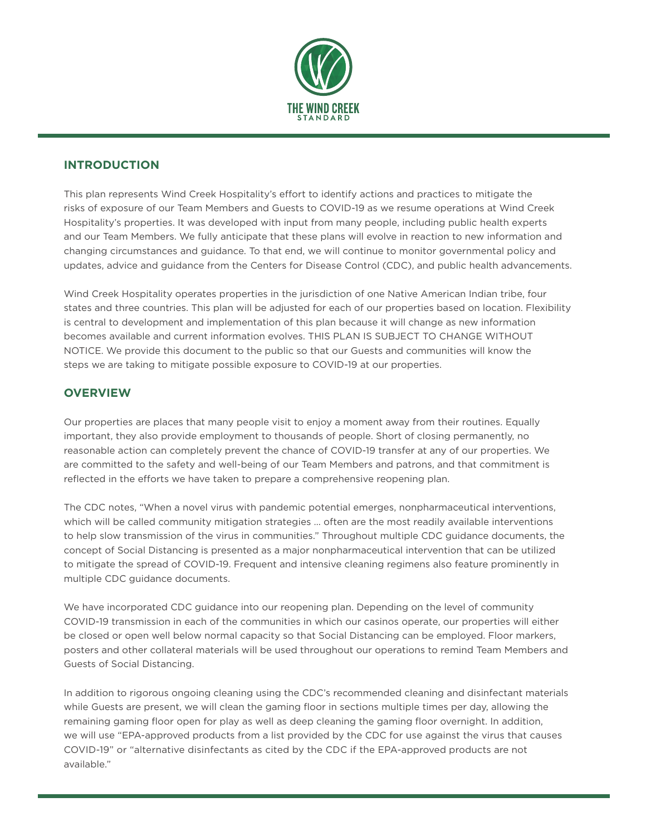

# **INTRODUCTION**

This plan represents Wind Creek Hospitality's effort to identify actions and practices to mitigate the risks of exposure of our Team Members and Guests to COVID-19 as we resume operations at Wind Creek Hospitality's properties. It was developed with input from many people, including public health experts and our Team Members. We fully anticipate that these plans will evolve in reaction to new information and changing circumstances and guidance. To that end, we will continue to monitor governmental policy and updates, advice and guidance from the Centers for Disease Control (CDC), and public health advancements.

Wind Creek Hospitality operates properties in the jurisdiction of one Native American Indian tribe, four states and three countries. This plan will be adjusted for each of our properties based on location. Flexibility is central to development and implementation of this plan because it will change as new information becomes available and current information evolves. THIS PLAN IS SUBJECT TO CHANGE WITHOUT NOTICE. We provide this document to the public so that our Guests and communities will know the steps we are taking to mitigate possible exposure to COVID-19 at our properties.

# **OVERVIEW**

Our properties are places that many people visit to enjoy a moment away from their routines. Equally important, they also provide employment to thousands of people. Short of closing permanently, no reasonable action can completely prevent the chance of COVID-19 transfer at any of our properties. We are committed to the safety and well-being of our Team Members and patrons, and that commitment is reflected in the efforts we have taken to prepare a comprehensive reopening plan.

The CDC notes, "When a novel virus with pandemic potential emerges, nonpharmaceutical interventions, which will be called community mitigation strategies ... often are the most readily available interventions to help slow transmission of the virus in communities." Throughout multiple CDC guidance documents, the concept of Social Distancing is presented as a major nonpharmaceutical intervention that can be utilized to mitigate the spread of COVID-19. Frequent and intensive cleaning regimens also feature prominently in multiple CDC guidance documents.

We have incorporated CDC guidance into our reopening plan. Depending on the level of community COVID-19 transmission in each of the communities in which our casinos operate, our properties will either be closed or open well below normal capacity so that Social Distancing can be employed. Floor markers, posters and other collateral materials will be used throughout our operations to remind Team Members and Guests of Social Distancing.

In addition to rigorous ongoing cleaning using the CDC's recommended cleaning and disinfectant materials while Guests are present, we will clean the gaming floor in sections multiple times per day, allowing the remaining gaming floor open for play as well as deep cleaning the gaming floor overnight. In addition, we will use "EPA-approved products from a list provided by the CDC for use against the virus that causes COVID-19" or "alternative disinfectants as cited by the CDC if the EPA-approved products are not available."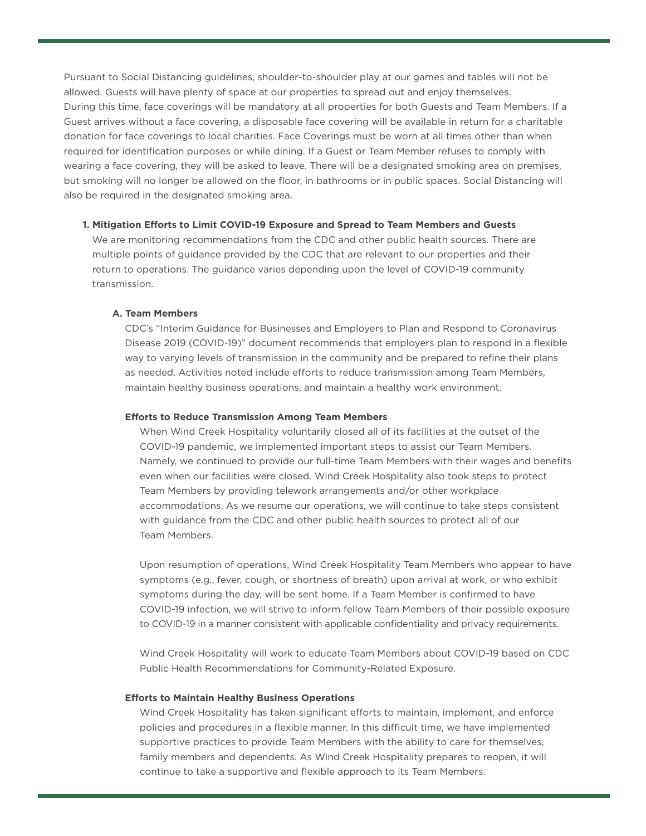Pursuant to Social Distancing guidelines, shoulder-to-shoulder play at our games and tables will not be allowed. Guests will have plenty of space at our properties to spread out and enjoy themselves. During this time, face coverings will be mandatory at all properties for both Guests and Team Members. If a Guest arrives without a face covering, a disposable face covering will be available in return for a charitable donation for face coverings to local charities. Face Coverings must be worn at all times other than when required for identification purposes or while dining. If a Guest or Team Member refuses to comply with wearing a face covering, they will be asked to leave. There will be a designated smoking area on premises, but smoking will no longer be allowed on the floor, in bathrooms or in public spaces. Social Distancing will also be required in the designated smoking area.

## **1. Mitigation Efforts to Limit COVID-19 Exposure and Spread to Team Members and Guests**

 We are monitoring recommendations from the CDC and other public health sources. There are multiple points of guidance provided by the CDC that are relevant to our properties and their return to operations. The guidance varies depending upon the level of COVID-19 community transmission.

## **A. Team Members**

 CDC's "Interim Guidance for Businesses and Employers to Plan and Respond to Coronavirus Disease 2019 (COVID-19)" document recommends that employers plan to respond in a flexible way to varying levels of transmission in the community and be prepared to refine their plans as needed. Activities noted include efforts to reduce transmission among Team Members, maintain healthy business operations, and maintain a healthy work environment.

#### **Efforts to Reduce Transmission Among Team Members**

 When Wind Creek Hospitality voluntarily closed all of its facilities at the outset of the COVID-19 pandemic, we implemented important steps to assist our Team Members. Namely, we continued to provide our full-time Team Members with their wages and benefits even when our facilities were closed. Wind Creek Hospitality also took steps to protect Team Members by providing telework arrangements and/or other workplace accommodations. As we resume our operations, we will continue to take steps consistent with guidance from the CDC and other public health sources to protect all of our Team Members.

 Upon resumption of operations, Wind Creek Hospitality Team Members who appear to have symptoms (e.g., fever, cough, or shortness of breath) upon arrival at work, or who exhibit symptoms during the day, will be sent home. If a Team Member is confirmed to have COVID-19 infection, we will strive to inform fellow Team Members of their possible exposure to COVID-19 in a manner consistent with applicable confidentiality and privacy requirements.

 Wind Creek Hospitality will work to educate Team Members about COVID-19 based on CDC Public Health Recommendations for Community-Related Exposure.

#### **Efforts to Maintain Healthy Business Operations**

 Wind Creek Hospitality has taken significant efforts to maintain, implement, and enforce policies and procedures in a flexible manner. In this difficult time, we have implemented supportive practices to provide Team Members with the ability to care for themselves, family members and dependents. As Wind Creek Hospitality prepares to reopen, it will continue to take a supportive and flexible approach to its Team Members.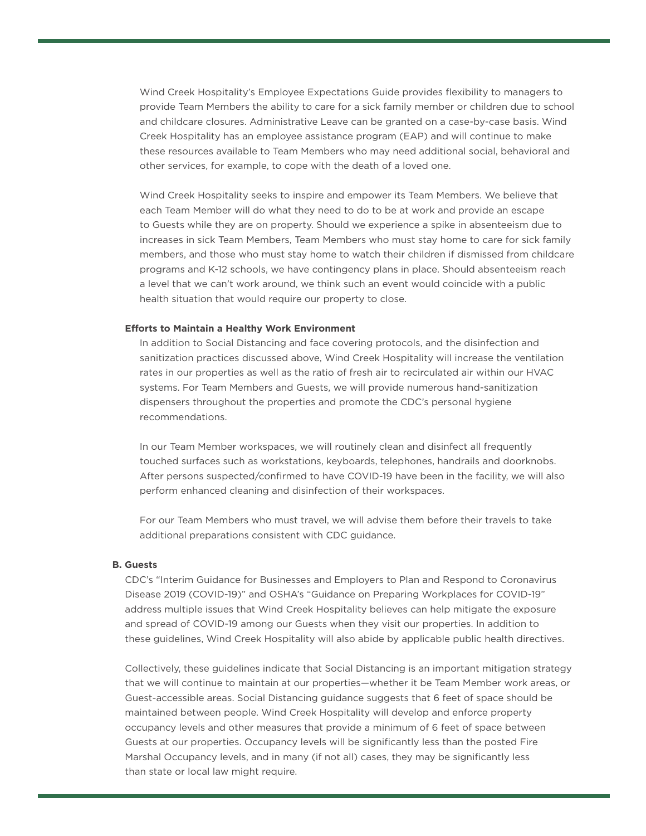Wind Creek Hospitality's Employee Expectations Guide provides flexibility to managers to provide Team Members the ability to care for a sick family member or children due to school and childcare closures. Administrative Leave can be granted on a case-by-case basis. Wind Creek Hospitality has an employee assistance program (EAP) and will continue to make these resources available to Team Members who may need additional social, behavioral and other services, for example, to cope with the death of a loved one.

 Wind Creek Hospitality seeks to inspire and empower its Team Members. We believe that each Team Member will do what they need to do to be at work and provide an escape to Guests while they are on property. Should we experience a spike in absenteeism due to increases in sick Team Members, Team Members who must stay home to care for sick family members, and those who must stay home to watch their children if dismissed from childcare programs and K-12 schools, we have contingency plans in place. Should absenteeism reach a level that we can't work around, we think such an event would coincide with a public health situation that would require our property to close.

#### **Efforts to Maintain a Healthy Work Environment**

 In addition to Social Distancing and face covering protocols, and the disinfection and sanitization practices discussed above, Wind Creek Hospitality will increase the ventilation rates in our properties as well as the ratio of fresh air to recirculated air within our HVAC systems. For Team Members and Guests, we will provide numerous hand-sanitization dispensers throughout the properties and promote the CDC's personal hygiene recommendations.

 In our Team Member workspaces, we will routinely clean and disinfect all frequently touched surfaces such as workstations, keyboards, telephones, handrails and doorknobs. After persons suspected/confirmed to have COVID-19 have been in the facility, we will also perform enhanced cleaning and disinfection of their workspaces.

 For our Team Members who must travel, we will advise them before their travels to take additional preparations consistent with CDC guidance.

#### **B. Guests**

 CDC's "Interim Guidance for Businesses and Employers to Plan and Respond to Coronavirus Disease 2019 (COVID-19)" and OSHA's "Guidance on Preparing Workplaces for COVID-19" address multiple issues that Wind Creek Hospitality believes can help mitigate the exposure and spread of COVID-19 among our Guests when they visit our properties. In addition to these guidelines, Wind Creek Hospitality will also abide by applicable public health directives.

 Collectively, these guidelines indicate that Social Distancing is an important mitigation strategy that we will continue to maintain at our properties—whether it be Team Member work areas, or Guest-accessible areas. Social Distancing guidance suggests that 6 feet of space should be maintained between people. Wind Creek Hospitality will develop and enforce property occupancy levels and other measures that provide a minimum of 6 feet of space between Guests at our properties. Occupancy levels will be significantly less than the posted Fire Marshal Occupancy levels, and in many (if not all) cases, they may be significantly less than state or local law might require.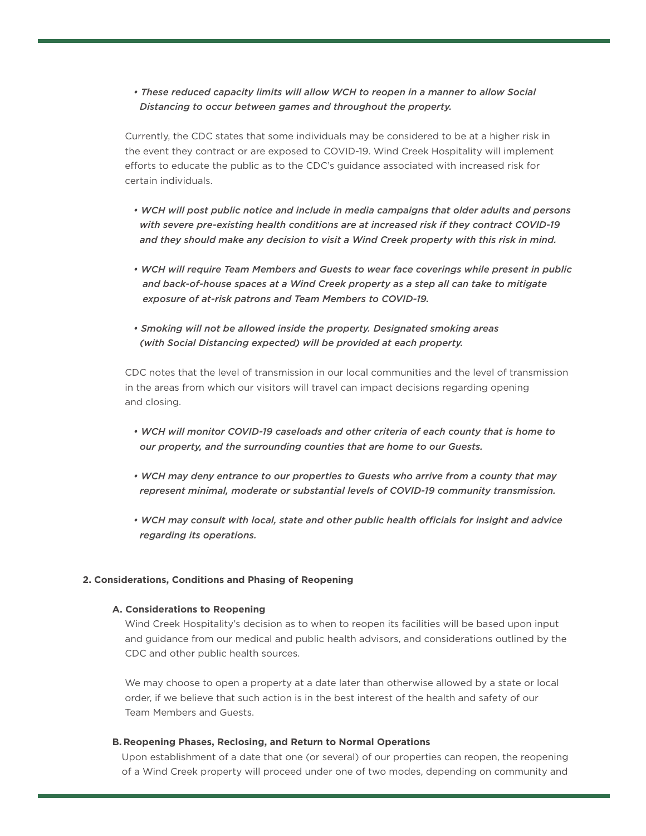## *• These reduced capacity limits will allow WCH to reopen in a manner to allow Social Distancing to occur between games and throughout the property.*

 Currently, the CDC states that some individuals may be considered to be at a higher risk in the event they contract or are exposed to COVID-19. Wind Creek Hospitality will implement efforts to educate the public as to the CDC's guidance associated with increased risk for certain individuals.

- *WCH will post public notice and include in media campaigns that older adults and persons with severe pre-existing health conditions are at increased risk if they contract COVID-19 and they should make any decision to visit a Wind Creek property with this risk in mind.*
- *WCH will require Team Members and Guests to wear face coverings while present in public and back-of-house spaces at a Wind Creek property as a step all can take to mitigate exposure of at-risk patrons and Team Members to COVID-19.*
- *Smoking will not be allowed inside the property. Designated smoking areas (with Social Distancing expected) will be provided at each property.*

 CDC notes that the level of transmission in our local communities and the level of transmission in the areas from which our visitors will travel can impact decisions regarding opening and closing.

- *WCH will monitor COVID-19 caseloads and other criteria of each county that is home to our property, and the surrounding counties that are home to our Guests.*
- *WCH may deny entrance to our properties to Guests who arrive from a county that may represent minimal, moderate or substantial levels of COVID-19 community transmission.*
- *WCH may consult with local, state and other public health officials for insight and advice regarding its operations.*

## **2. Considerations, Conditions and Phasing of Reopening**

#### **A. Considerations to Reopening**

 Wind Creek Hospitality's decision as to when to reopen its facilities will be based upon input and guidance from our medical and public health advisors, and considerations outlined by the CDC and other public health sources.

 We may choose to open a property at a date later than otherwise allowed by a state or local order, if we believe that such action is in the best interest of the health and safety of our Team Members and Guests.

#### **B. Reopening Phases, Reclosing, and Return to Normal Operations**

 Upon establishment of a date that one (or several) of our properties can reopen, the reopening of a Wind Creek property will proceed under one of two modes, depending on community and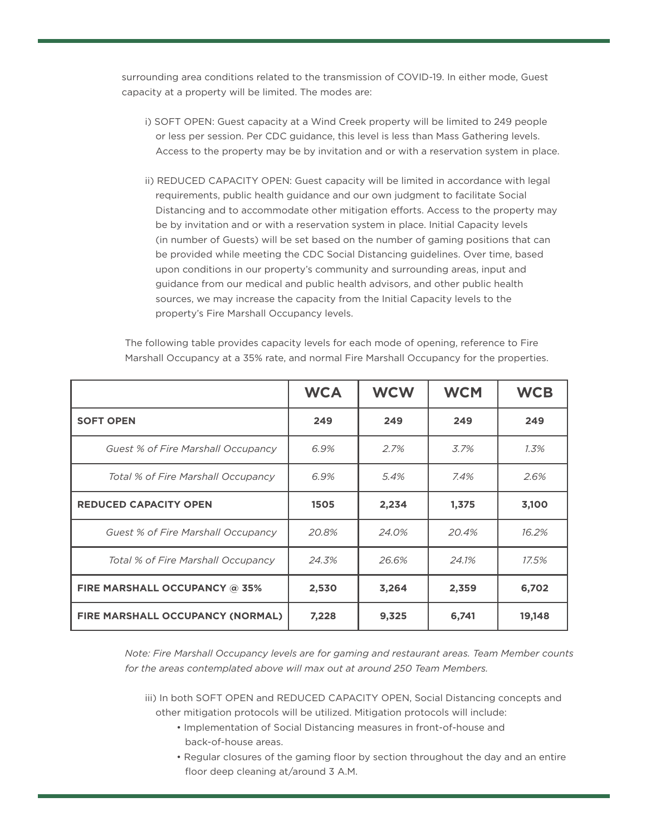surrounding area conditions related to the transmission of COVID-19. In either mode, Guest capacity at a property will be limited. The modes are:

- i) SOFT OPEN: Guest capacity at a Wind Creek property will be limited to 249 people or less per session. Per CDC guidance, this level is less than Mass Gathering levels. Access to the property may be by invitation and or with a reservation system in place.
- ii) REDUCED CAPACITY OPEN: Guest capacity will be limited in accordance with legal requirements, public health guidance and our own judgment to facilitate Social Distancing and to accommodate other mitigation efforts. Access to the property may be by invitation and or with a reservation system in place. Initial Capacity levels (in number of Guests) will be set based on the number of gaming positions that can be provided while meeting the CDC Social Distancing guidelines. Over time, based upon conditions in our property's community and surrounding areas, input and guidance from our medical and public health advisors, and other public health sources, we may increase the capacity from the Initial Capacity levels to the property's Fire Marshall Occupancy levels.

|                                           | <b>WCA</b> | <b>WCW</b> | <b>WCM</b> | <b>WCB</b> |
|-------------------------------------------|------------|------------|------------|------------|
| <b>SOFT OPEN</b>                          | 249        | 249        | 249        | 249        |
| Guest % of Fire Marshall Occupancy        | 6.9%       | 2.7%       | 3.7%       | $1.3\%$    |
| Total % of Fire Marshall Occupancy        | 6.9%       | 5.4%       | 7.4%       | 2.6%       |
| <b>REDUCED CAPACITY OPEN</b>              | 1505       | 2,234      | 1,375      | 3,100      |
| <b>Guest % of Fire Marshall Occupancy</b> | 20.8%      | 24.0%      | 20.4%      | 16.2%      |
| Total % of Fire Marshall Occupancy        | 24.3%      | 26.6%      | 24.1%      | 17.5%      |
| FIRE MARSHALL OCCUPANCY @ 35%             | 2,530      | 3,264      | 2,359      | 6,702      |
| FIRE MARSHALL OCCUPANCY (NORMAL)          | 7,228      | 9,325      | 6,741      | 19,148     |

 The following table provides capacity levels for each mode of opening, reference to Fire Marshall Occupancy at a 35% rate, and normal Fire Marshall Occupancy for the properties.

 *Note: Fire Marshall Occupancy levels are for gaming and restaurant areas. Team Member counts for the areas contemplated above will max out at around 250 Team Members.* 

 iii) In both SOFT OPEN and REDUCED CAPACITY OPEN, Social Distancing concepts and other mitigation protocols will be utilized. Mitigation protocols will include:

- Implementation of Social Distancing measures in front-of-house and back-of-house areas.
- Regular closures of the gaming floor by section throughout the day and an entire floor deep cleaning at/around 3 A.M.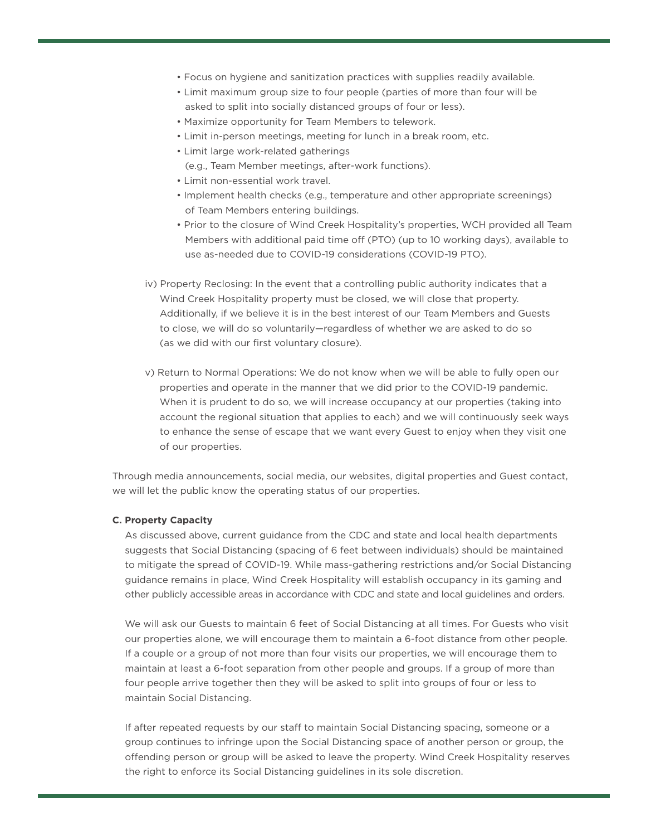- Focus on hygiene and sanitization practices with supplies readily available.
- Limit maximum group size to four people (parties of more than four will be asked to split into socially distanced groups of four or less).
- Maximize opportunity for Team Members to telework.
- Limit in-person meetings, meeting for lunch in a break room, etc.
- Limit large work-related gatherings
	- (e.g., Team Member meetings, after-work functions).
- Limit non-essential work travel.
- Implement health checks (e.g., temperature and other appropriate screenings) of Team Members entering buildings.
- Prior to the closure of Wind Creek Hospitality's properties, WCH provided all Team Members with additional paid time off (PTO) (up to 10 working days), available to use as-needed due to COVID-19 considerations (COVID-19 PTO).
- iv) Property Reclosing: In the event that a controlling public authority indicates that a Wind Creek Hospitality property must be closed, we will close that property. Additionally, if we believe it is in the best interest of our Team Members and Guests to close, we will do so voluntarily—regardless of whether we are asked to do so (as we did with our first voluntary closure).
- v) Return to Normal Operations: We do not know when we will be able to fully open our properties and operate in the manner that we did prior to the COVID-19 pandemic. When it is prudent to do so, we will increase occupancy at our properties (taking into account the regional situation that applies to each) and we will continuously seek ways to enhance the sense of escape that we want every Guest to enjoy when they visit one of our properties.

 Through media announcements, social media, our websites, digital properties and Guest contact, we will let the public know the operating status of our properties.

## **C. Property Capacity**

 As discussed above, current guidance from the CDC and state and local health departments suggests that Social Distancing (spacing of 6 feet between individuals) should be maintained to mitigate the spread of COVID-19. While mass-gathering restrictions and/or Social Distancing guidance remains in place, Wind Creek Hospitality will establish occupancy in its gaming and other publicly accessible areas in accordance with CDC and state and local guidelines and orders.

 We will ask our Guests to maintain 6 feet of Social Distancing at all times. For Guests who visit our properties alone, we will encourage them to maintain a 6-foot distance from other people. If a couple or a group of not more than four visits our properties, we will encourage them to maintain at least a 6-foot separation from other people and groups. If a group of more than four people arrive together then they will be asked to split into groups of four or less to maintain Social Distancing.

 If after repeated requests by our staff to maintain Social Distancing spacing, someone or a group continues to infringe upon the Social Distancing space of another person or group, the offending person or group will be asked to leave the property. Wind Creek Hospitality reserves the right to enforce its Social Distancing guidelines in its sole discretion.